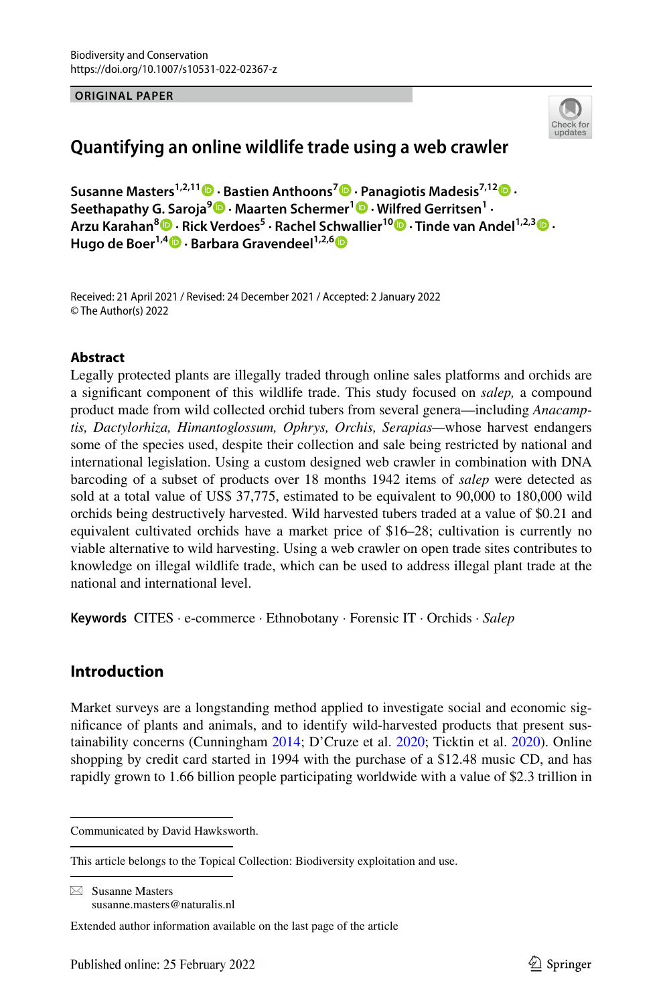#### **ORIGINAL PAPER**



# **Quantifying an online wildlife trade using a web crawler**

**Susanne Masters1,2,11  [·](http://orcid.org/0000-0002-4070-3224) Bastien Anthoons7 · Panagiotis Madesis7,1[2](http://orcid.org/0000-0003-1447-3514) · Seethapathy G. Saroja<sup>9</sup>  [·](http://orcid.org/0000-0002-1650-5199) Maarten Schermer1  [·](http://orcid.org/0000-0001-6770-3155) Wilfred Gerritsen1 · Arzu Karahan[8](http://orcid.org/0000-0002-4096-9372) · Rick Verdoes5 · Rachel Schwallier1[0](http://orcid.org/0000-0001-6024-6406) · Tinde van Andel1,2,3 · Hugode Boer<sup>1,4</sup> • Barbara Gravendeel**<sup>1,2,[6](http://orcid.org/0000-0002-6508-0895)</sup> **D** 

Received: 21 April 2021 / Revised: 24 December 2021 / Accepted: 2 January 2022 © The Author(s) 2022

## **Abstract**

Legally protected plants are illegally traded through online sales platforms and orchids are a signifcant component of this wildlife trade. This study focused on *salep,* a compound product made from wild collected orchid tubers from several genera—including *Anacamptis, Dactylorhiza, Himantoglossum, Ophrys, Orchis, Serapias—*whose harvest endangers some of the species used, despite their collection and sale being restricted by national and international legislation. Using a custom designed web crawler in combination with DNA barcoding of a subset of products over 18 months 1942 items of *salep* were detected as sold at a total value of US\$ 37,775, estimated to be equivalent to 90,000 to 180,000 wild orchids being destructively harvested. Wild harvested tubers traded at a value of \$0.21 and equivalent cultivated orchids have a market price of \$16–28; cultivation is currently no viable alternative to wild harvesting. Using a web crawler on open trade sites contributes to knowledge on illegal wildlife trade, which can be used to address illegal plant trade at the national and international level.

**Keywords** CITES · e-commerce · Ethnobotany · Forensic IT · Orchids · *Salep*

# **Introduction**

Market surveys are a longstanding method applied to investigate social and economic signifcance of plants and animals, and to identify wild-harvested products that present sustainability concerns (Cunningham [2014](#page-11-0); D'Cruze et al. [2020;](#page-11-1) Ticktin et al. [2020](#page-13-0)). Online shopping by credit card started in 1994 with the purchase of a \$12.48 music CD, and has rapidly grown to 1.66 billion people participating worldwide with a value of \$2.3 trillion in

 $\boxtimes$  Susanne Masters susanne.masters@naturalis.nl

Communicated by David Hawksworth.

This article belongs to the Topical Collection: Biodiversity exploitation and use.

Extended author information available on the last page of the article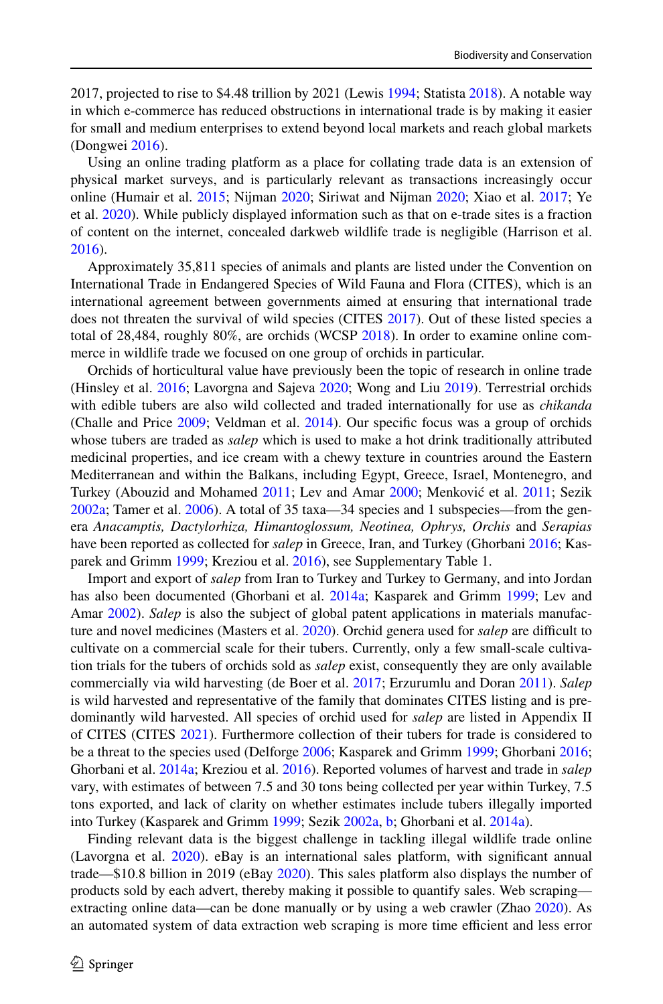2017, projected to rise to \$4.48 trillion by 2021 (Lewis [1994;](#page-12-0) Statista [2018](#page-13-1)). A notable way in which e-commerce has reduced obstructions in international trade is by making it easier for small and medium enterprises to extend beyond local markets and reach global markets (Dongwei [2016\)](#page-11-2).

Using an online trading platform as a place for collating trade data is an extension of physical market surveys, and is particularly relevant as transactions increasingly occur online (Humair et al. [2015;](#page-12-1) Nijman [2020;](#page-12-2) Siriwat and Nijman [2020](#page-13-2); Xiao et al. [2017;](#page-13-3) Ye et al. [2020\)](#page-13-4). While publicly displayed information such as that on e-trade sites is a fraction of content on the internet, concealed darkweb wildlife trade is negligible (Harrison et al. [2016\)](#page-12-3).

Approximately 35,811 species of animals and plants are listed under the Convention on International Trade in Endangered Species of Wild Fauna and Flora (CITES), which is an international agreement between governments aimed at ensuring that international trade does not threaten the survival of wild species (CITES [2017\)](#page-11-3). Out of these listed species a total of 28,484, roughly 80%, are orchids (WCSP [2018\)](#page-13-5). In order to examine online commerce in wildlife trade we focused on one group of orchids in particular.

Orchids of horticultural value have previously been the topic of research in online trade (Hinsley et al. [2016](#page-12-4); Lavorgna and Sajeva [2020;](#page-12-5) Wong and Liu [2019\)](#page-13-6). Terrestrial orchids with edible tubers are also wild collected and traded internationally for use as *chikanda* (Challe and Price [2009;](#page-11-4) Veldman et al. [2014](#page-13-7)). Our specifc focus was a group of orchids whose tubers are traded as *salep* which is used to make a hot drink traditionally attributed medicinal properties, and ice cream with a chewy texture in countries around the Eastern Mediterranean and within the Balkans, including Egypt, Greece, Israel, Montenegro, and Turkey (Abouzid and Mohamed [2011](#page-11-5); Lev and Amar [2000](#page-12-6); Menković et al. [2011;](#page-12-7) Sezik [2002a](#page-13-8); Tamer et al. [2006\)](#page-13-9). A total of 35 taxa—34 species and 1 subspecies—from the genera *Anacamptis, Dactylorhiza, Himantoglossum, Neotinea, Ophrys, Orchis* and *Serapias* have been reported as collected for *salep* in Greece, Iran, and Turkey (Ghorbani [2016;](#page-12-8) Kasparek and Grimm [1999](#page-12-9); Kreziou et al. [2016](#page-12-10)), see Supplementary Table 1.

Import and export of *salep* from Iran to Turkey and Turkey to Germany, and into Jordan has also been documented (Ghorbani et al. [2014a;](#page-12-11) Kasparek and Grimm [1999;](#page-12-9) Lev and Amar [2002](#page-12-12)). *Salep* is also the subject of global patent applications in materials manufac-ture and novel medicines (Masters et al. [2020\)](#page-12-13). Orchid genera used for *salep* are difficult to cultivate on a commercial scale for their tubers. Currently, only a few small-scale cultivation trials for the tubers of orchids sold as *salep* exist, consequently they are only available commercially via wild harvesting (de Boer et al. [2017](#page-11-6); Erzurumlu and Doran [2011](#page-11-7)). *Salep* is wild harvested and representative of the family that dominates CITES listing and is predominantly wild harvested. All species of orchid used for *salep* are listed in Appendix II of CITES (CITES [2021\)](#page-11-8). Furthermore collection of their tubers for trade is considered to be a threat to the species used (Delforge [2006;](#page-11-9) Kasparek and Grimm [1999;](#page-12-9) Ghorbani [2016;](#page-12-8) Ghorbani et al. [2014a;](#page-12-11) Kreziou et al. [2016](#page-12-10)). Reported volumes of harvest and trade in *salep* vary, with estimates of between 7.5 and 30 tons being collected per year within Turkey, 7.5 tons exported, and lack of clarity on whether estimates include tubers illegally imported into Turkey (Kasparek and Grimm [1999](#page-12-9); Sezik [2002a](#page-13-8), [b;](#page-13-10) Ghorbani et al. [2014a\)](#page-12-11).

Finding relevant data is the biggest challenge in tackling illegal wildlife trade online (Lavorgna et al. [2020\)](#page-12-14). eBay is an international sales platform, with signifcant annual trade—\$10.8 billion in 2019 (eBay [2020\)](#page-11-10). This sales platform also displays the number of products sold by each advert, thereby making it possible to quantify sales. Web scraping extracting online data—can be done manually or by using a web crawler (Zhao [2020\)](#page-13-11). As an automated system of data extraction web scraping is more time efficient and less error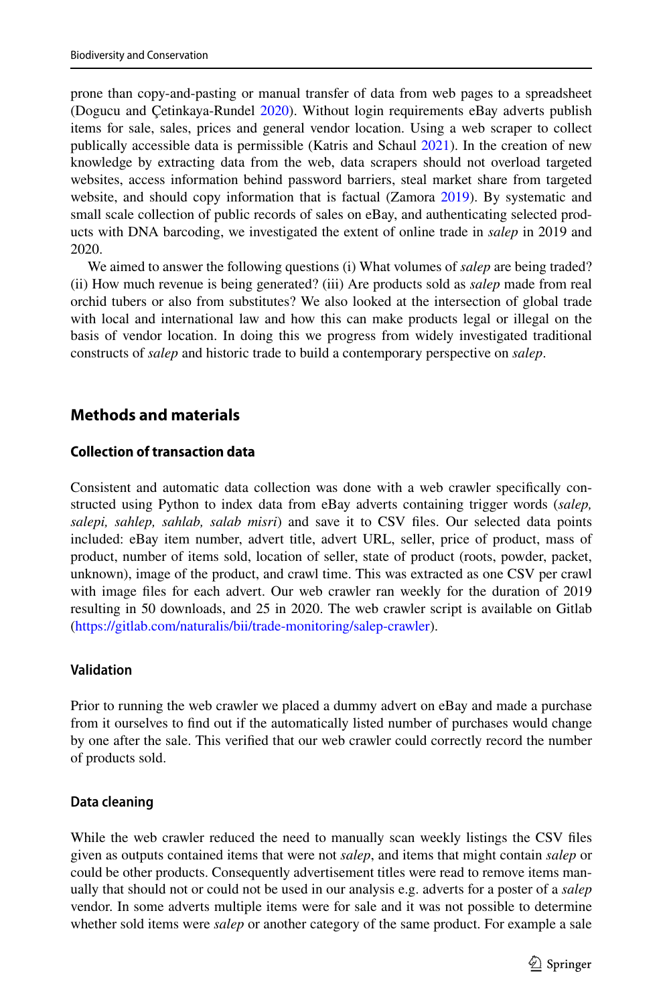prone than copy-and-pasting or manual transfer of data from web pages to a spreadsheet (Dogucu and Çetinkaya-Rundel [2020\)](#page-11-11). Without login requirements eBay adverts publish items for sale, sales, prices and general vendor location. Using a web scraper to collect publically accessible data is permissible (Katris and Schaul [2021](#page-12-15)). In the creation of new knowledge by extracting data from the web, data scrapers should not overload targeted websites, access information behind password barriers, steal market share from targeted website, and should copy information that is factual (Zamora [2019](#page-13-12)). By systematic and small scale collection of public records of sales on eBay, and authenticating selected products with DNA barcoding, we investigated the extent of online trade in *salep* in 2019 and 2020.

We aimed to answer the following questions (i) What volumes of *salep* are being traded? (ii) How much revenue is being generated? (iii) Are products sold as *salep* made from real orchid tubers or also from substitutes? We also looked at the intersection of global trade with local and international law and how this can make products legal or illegal on the basis of vendor location. In doing this we progress from widely investigated traditional constructs of *salep* and historic trade to build a contemporary perspective on *salep*.

# **Methods and materials**

## **Collection of transaction data**

Consistent and automatic data collection was done with a web crawler specifcally constructed using Python to index data from eBay adverts containing trigger words (*salep, salepi, sahlep, sahlab, salab misri*) and save it to CSV fles. Our selected data points included: eBay item number, advert title, advert URL, seller, price of product, mass of product, number of items sold, location of seller, state of product (roots, powder, packet, unknown), image of the product, and crawl time. This was extracted as one CSV per crawl with image fles for each advert. Our web crawler ran weekly for the duration of 2019 resulting in 50 downloads, and 25 in 2020. The web crawler script is available on Gitlab (<https://gitlab.com/naturalis/bii/trade-monitoring/salep-crawler>).

## **Validation**

Prior to running the web crawler we placed a dummy advert on eBay and made a purchase from it ourselves to fnd out if the automatically listed number of purchases would change by one after the sale. This verifed that our web crawler could correctly record the number of products sold.

#### **Data cleaning**

While the web crawler reduced the need to manually scan weekly listings the CSV fles given as outputs contained items that were not *salep*, and items that might contain *salep* or could be other products. Consequently advertisement titles were read to remove items manually that should not or could not be used in our analysis e.g. adverts for a poster of a *salep* vendor. In some adverts multiple items were for sale and it was not possible to determine whether sold items were *salep* or another category of the same product. For example a sale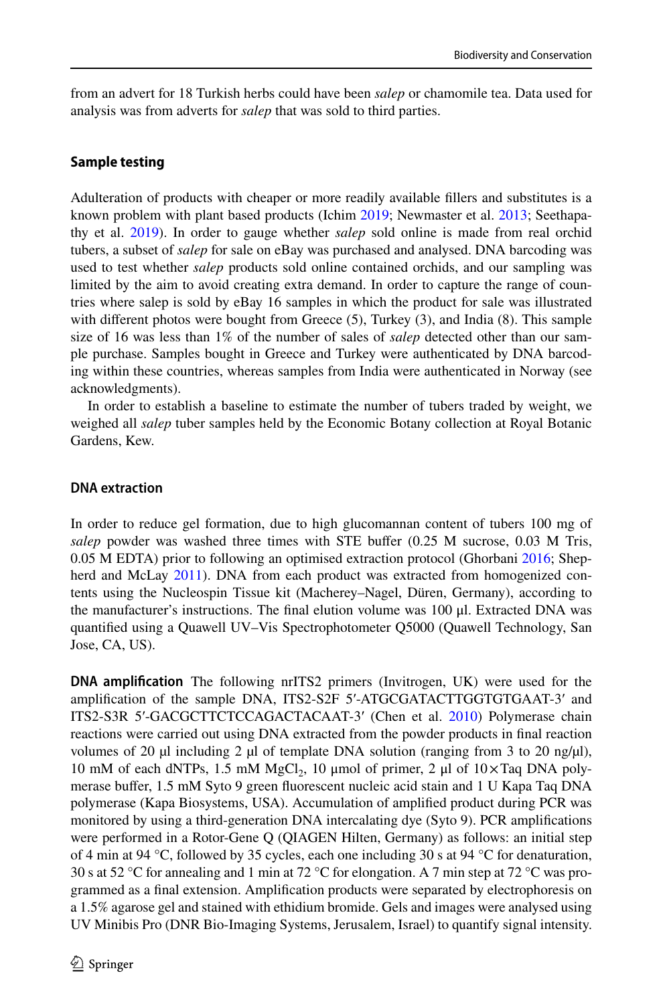from an advert for 18 Turkish herbs could have been *salep* or chamomile tea. Data used for analysis was from adverts for *salep* that was sold to third parties.

## **Sample testing**

Adulteration of products with cheaper or more readily available fllers and substitutes is a known problem with plant based products (Ichim [2019](#page-12-16); Newmaster et al. [2013;](#page-12-17) Seethapathy et al. [2019](#page-13-13)). In order to gauge whether *salep* sold online is made from real orchid tubers, a subset of *salep* for sale on eBay was purchased and analysed. DNA barcoding was used to test whether *salep* products sold online contained orchids, and our sampling was limited by the aim to avoid creating extra demand. In order to capture the range of countries where salep is sold by eBay 16 samples in which the product for sale was illustrated with different photos were bought from Greece (5), Turkey (3), and India (8). This sample size of 16 was less than 1% of the number of sales of *salep* detected other than our sample purchase. Samples bought in Greece and Turkey were authenticated by DNA barcoding within these countries, whereas samples from India were authenticated in Norway (see acknowledgments).

In order to establish a baseline to estimate the number of tubers traded by weight, we weighed all *salep* tuber samples held by the Economic Botany collection at Royal Botanic Gardens, Kew.

## **DNA extraction**

In order to reduce gel formation, due to high glucomannan content of tubers 100 mg of *salep* powder was washed three times with STE bufer (0.25 M sucrose, 0.03 M Tris, 0.05 M EDTA) prior to following an optimised extraction protocol (Ghorbani [2016](#page-12-8); Shep-herd and McLay [2011](#page-13-14)). DNA from each product was extracted from homogenized contents using the Nucleospin Tissue kit (Macherey–Nagel, Düren, Germany), according to the manufacturer's instructions. The fnal elution volume was 100 μl. Extracted DNA was quantifed using a Quawell UV–Vis Spectrophotometer Q5000 (Quawell Technology, San Jose, CA, US).

**DNA amplifcation** The following nrITS2 primers (Invitrogen, UK) were used for the amplifcation of the sample DNA, ITS2-S2F 5′-ATGCGATACTTGGTGTGAAT-3′ and ITS2-S3R 5′-GACGCTTCTCCAGACTACAAT-3′ (Chen et al. [2010\)](#page-11-12) Polymerase chain reactions were carried out using DNA extracted from the powder products in fnal reaction volumes of 20  $\mu$ l including 2  $\mu$ l of template DNA solution (ranging from 3 to 20 ng/ $\mu$ l), 10 mM of each dNTPs, 1.5 mM MgCl<sub>2</sub>, 10 μmol of primer, 2 μl of  $10 \times$ Taq DNA polymerase bufer, 1.5 mM Syto 9 green fuorescent nucleic acid stain and 1 U Kapa Taq DNA polymerase (Kapa Biosystems, USA). Accumulation of amplifed product during PCR was monitored by using a third-generation DNA intercalating dye (Syto 9). PCR amplifcations were performed in a Rotor-Gene Q (QIAGEN Hilten, Germany) as follows: an initial step of 4 min at 94 °C, followed by 35 cycles, each one including 30 s at 94 °C for denaturation, 30 s at 52 °C for annealing and 1 min at 72 °C for elongation. A 7 min step at 72 °C was programmed as a fnal extension. Amplifcation products were separated by electrophoresis on a 1.5% agarose gel and stained with ethidium bromide. Gels and images were analysed using UV Minibis Pro (DNR Bio-Imaging Systems, Jerusalem, Israel) to quantify signal intensity.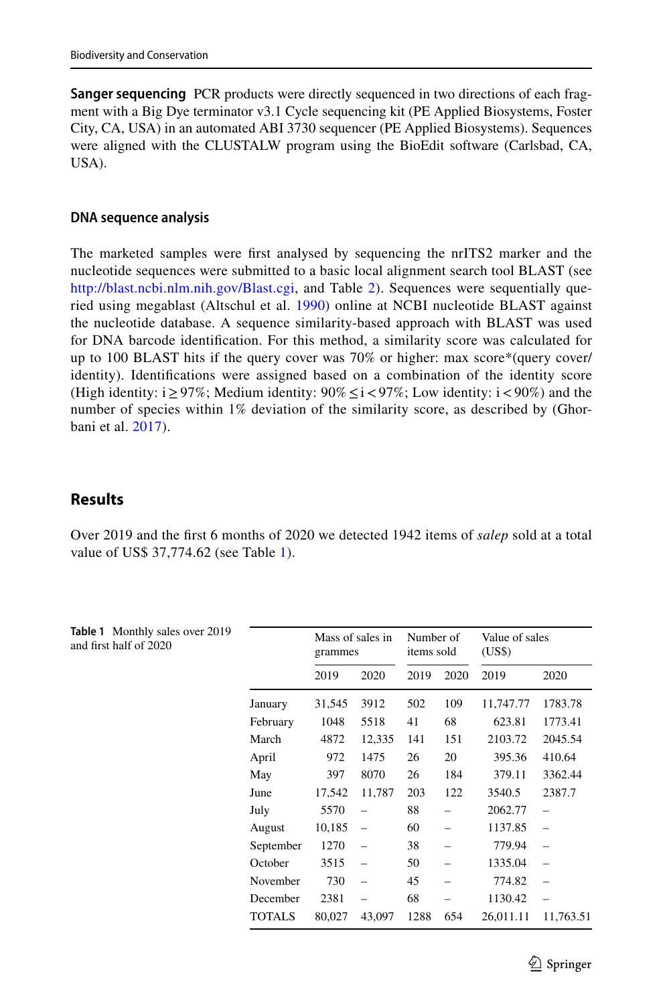**Sanger sequencing** PCR products were directly sequenced in two directions of each fragment with a Big Dye terminator v3.1 Cycle sequencing kit (PE Applied Biosystems, Foster City, CA, USA) in an automated ABI 3730 sequencer (PE Applied Biosystems). Sequences were aligned with the CLUSTALW program using the BioEdit software (Carlsbad, CA, USA).

### **DNA sequence analysis**

The marketed samples were frst analysed by sequencing the nrITS2 marker and the nucleotide sequences were submitted to a basic local alignment search tool BLAST (see <http://blast.ncbi.nlm.nih.gov/Blast.cgi>, and Table [2\)](#page-6-0). Sequences were sequentially queried using megablast (Altschul et al. [1990\)](#page-11-13) online at NCBI nucleotide BLAST against the nucleotide database. A sequence similarity-based approach with BLAST was used for DNA barcode identifcation. For this method, a similarity score was calculated for up to 100 BLAST hits if the query cover was 70% or higher: max score\*(query cover/ identity). Identifcations were assigned based on a combination of the identity score (High identity:  $i \geq 97\%$ ; Medium identity:  $90\% \leq i \leq 97\%$ ; Low identity:  $i \leq 90\%$ ) and the number of species within 1% deviation of the similarity score, as described by (Ghorbani et al. [2017](#page-12-18)).

# **Results**

Over 2019 and the frst 6 months of 2020 we detected 1942 items of *salep* sold at a total value of US\$ 37,774.62 (see Table [1](#page-4-0)).

<span id="page-4-0"></span>

| <b>Table 1</b> Monthly sales over 2019<br>and first half of 2020 |               | Mass of sales in<br>grammes |                          | Number of<br>items sold |      | Value of sales<br>(US\$) |                          |
|------------------------------------------------------------------|---------------|-----------------------------|--------------------------|-------------------------|------|--------------------------|--------------------------|
|                                                                  |               | 2019                        | 2020                     | 2019                    | 2020 | 2019                     | 2020                     |
|                                                                  | January       | 31,545                      | 3912                     | 502                     | 109  | 11,747.77                | 1783.78                  |
|                                                                  | February      | 1048                        | 5518                     | 41                      | 68   | 623.81                   | 1773.41                  |
|                                                                  | March         | 4872                        | 12,335                   | 141                     | 151  | 2103.72                  | 2045.54                  |
|                                                                  | April         | 972                         | 1475                     | 26                      | 20   | 395.36                   | 410.64                   |
|                                                                  | May           | 397                         | 8070                     | 26                      | 184  | 379.11                   | 3362.44                  |
|                                                                  | June          | 17,542                      | 11,787                   | 203                     | 122  | 3540.5                   | 2387.7                   |
|                                                                  | July          | 5570                        | $\overline{\phantom{0}}$ | 88                      | -    | 2062.77                  | $\overline{\phantom{0}}$ |
|                                                                  | August        | 10,185                      | $\overline{\phantom{0}}$ | 60                      | -    | 1137.85                  | $\overline{\phantom{0}}$ |
|                                                                  | September     | 1270                        | $\overline{\phantom{0}}$ | 38                      |      | 779.94                   | $\overline{\phantom{0}}$ |
|                                                                  | October       | 3515                        |                          | 50                      | -    | 1335.04                  | $\overline{\phantom{a}}$ |
|                                                                  | November      | 730                         | $\overline{\phantom{0}}$ | 45                      |      | 774.82                   | $\overline{\phantom{0}}$ |
|                                                                  | December      | 2381                        |                          | 68                      |      | 1130.42                  |                          |
|                                                                  | <b>TOTALS</b> | 80,027                      | 43,097                   | 1288                    | 654  | 26,011.11                | 11,763.51                |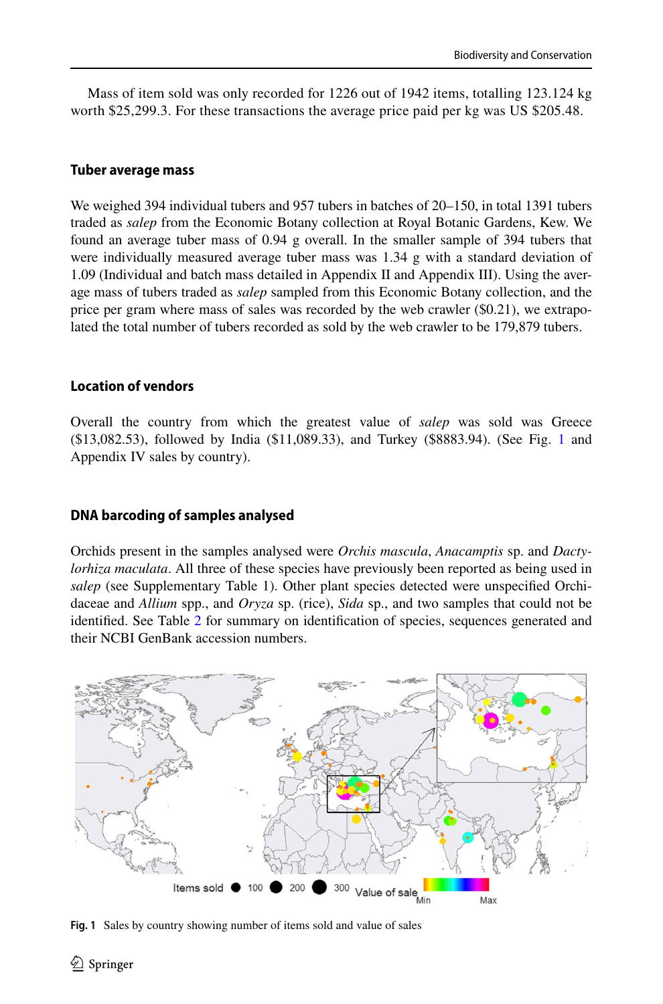Mass of item sold was only recorded for 1226 out of 1942 items, totalling 123.124 kg worth \$25,299.3. For these transactions the average price paid per kg was US \$205.48.

## **Tuber average mass**

We weighed 394 individual tubers and 957 tubers in batches of 20–150, in total 1391 tubers traded as *salep* from the Economic Botany collection at Royal Botanic Gardens, Kew. We found an average tuber mass of 0.94 g overall. In the smaller sample of 394 tubers that were individually measured average tuber mass was 1.34 g with a standard deviation of 1.09 (Individual and batch mass detailed in Appendix II and Appendix III). Using the average mass of tubers traded as *salep* sampled from this Economic Botany collection, and the price per gram where mass of sales was recorded by the web crawler (\$0.21), we extrapolated the total number of tubers recorded as sold by the web crawler to be 179,879 tubers.

## **Location of vendors**

Overall the country from which the greatest value of *salep* was sold was Greece (\$13,082.53), followed by India (\$11,089.33), and Turkey (\$8883.94). (See Fig. [1](#page-5-0) and Appendix IV sales by country).

## **DNA barcoding of samples analysed**

Orchids present in the samples analysed were *Orchis mascula*, *Anacamptis* sp. and *Dactylorhiza maculata*. All three of these species have previously been reported as being used in *salep* (see Supplementary Table 1). Other plant species detected were unspecifed Orchidaceae and *Allium* spp., and *Oryza* sp. (rice), *Sida* sp., and two samples that could not be identifed. See Table [2](#page-6-0) for summary on identifcation of species, sequences generated and their NCBI GenBank accession numbers.



<span id="page-5-0"></span>**Fig. 1** Sales by country showing number of items sold and value of sales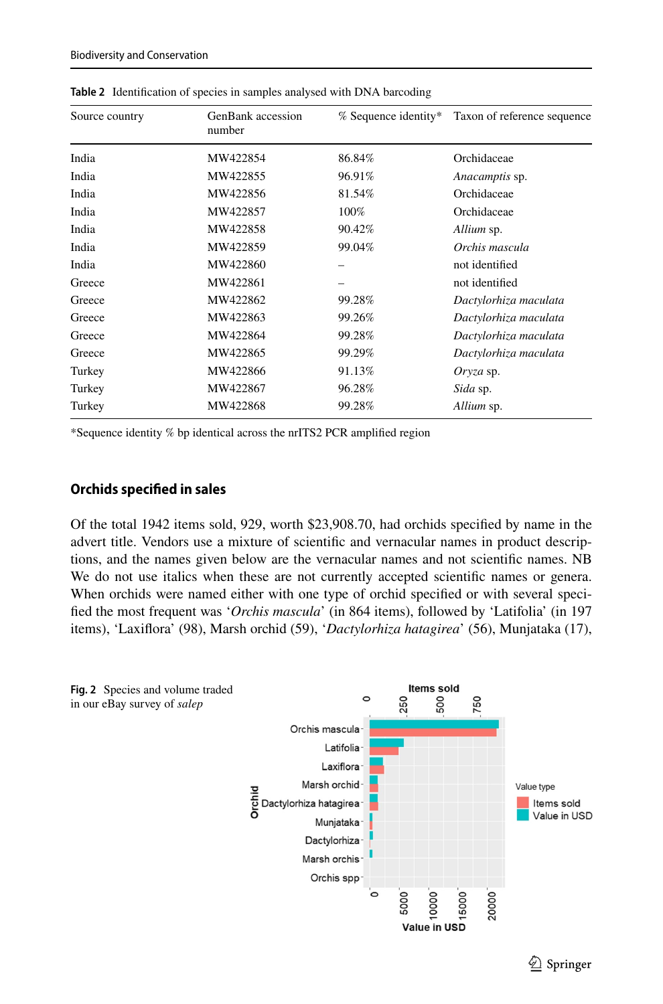| Source country | GenBank accession<br>number | % Sequence identity* | Taxon of reference sequence |
|----------------|-----------------------------|----------------------|-----------------------------|
| India          | MW422854                    | 86.84%               | Orchidaceae                 |
| India          | MW422855                    | 96.91%               | Anacamptis sp.              |
| India          | MW422856                    | 81.54%               | Orchidaceae                 |
| India          | MW422857                    | 100%                 | Orchidaceae                 |
| India          | MW422858                    | 90.42%               | Allium sp.                  |
| India          | MW422859                    | 99.04%               | Orchis mascula              |
| India          | MW422860                    |                      | not identified              |
| Greece         | MW422861                    |                      | not identified              |
| Greece         | MW422862                    | 99.28%               | Dactylorhiza maculata       |
| Greece         | MW422863                    | 99.26%               | Dactylorhiza maculata       |
| Greece         | MW422864                    | 99.28%               | Dactylorhiza maculata       |
| Greece         | MW422865                    | 99.29%               | Dactylorhiza maculata       |
| Turkey         | MW422866                    | 91.13%               | $Oryza$ sp.                 |
| Turkey         | MW422867                    | 96.28%               | Sida sp.                    |
| Turkey         | MW422868                    | 99.28%               | Allium sp.                  |

<span id="page-6-0"></span>**Table 2** Identifcation of species in samples analysed with DNA barcoding

\*Sequence identity % bp identical across the nrITS2 PCR amplifed region

### **Orchids specifed in sales**

Of the total 1942 items sold, 929, worth \$23,908.70, had orchids specifed by name in the advert title. Vendors use a mixture of scientifc and vernacular names in product descriptions, and the names given below are the vernacular names and not scientifc names. NB We do not use italics when these are not currently accepted scientifc names or genera. When orchids were named either with one type of orchid specified or with several specifed the most frequent was '*Orchis mascula*' (in 864 items), followed by 'Latifolia' (in 197 items), 'Laxifora' (98), Marsh orchid (59), '*Dactylorhiza hatagirea*' (56), Munjataka (17),

<span id="page-6-1"></span>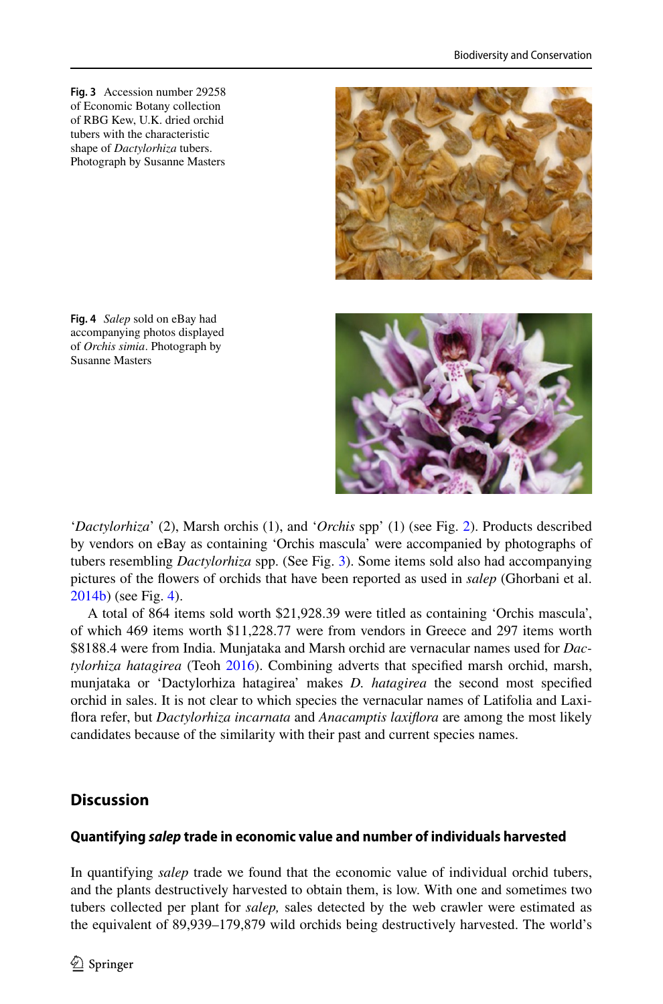<span id="page-7-0"></span>**Fig. 3** Accession number 29258 of Economic Botany collection of RBG Kew, U.K. dried orchid tubers with the characteristic shape of *Dactylorhiza* tubers. Photograph by Susanne Masters



<span id="page-7-1"></span>**Fig. 4** *Salep* sold on eBay had accompanying photos displayed of *Orchis simia*. Photograph by Susanne Masters

'*Dactylorhiza*' (2), Marsh orchis (1), and '*Orchis* spp' (1) (see Fig. [2\)](#page-6-1). Products described by vendors on eBay as containing 'Orchis mascula' were accompanied by photographs of tubers resembling *Dactylorhiza* spp. (See Fig. [3](#page-7-0)). Some items sold also had accompanying pictures of the fowers of orchids that have been reported as used in *salep* (Ghorbani et al. [2014b\)](#page-12-19) (see Fig. [4\)](#page-7-1).

A total of 864 items sold worth \$21,928.39 were titled as containing 'Orchis mascula', of which 469 items worth \$11,228.77 were from vendors in Greece and 297 items worth \$8188.4 were from India. Munjataka and Marsh orchid are vernacular names used for *Dactylorhiza hatagirea* (Teoh [2016\)](#page-13-15). Combining adverts that specifed marsh orchid, marsh, munjataka or 'Dactylorhiza hatagirea' makes *D. hatagirea* the second most specifed orchid in sales. It is not clear to which species the vernacular names of Latifolia and Laxifora refer, but *Dactylorhiza incarnata* and *Anacamptis laxifora* are among the most likely candidates because of the similarity with their past and current species names.

# **Discussion**

# **Quantifying** *salep* **trade in economic value and number of individuals harvested**

In quantifying *salep* trade we found that the economic value of individual orchid tubers, and the plants destructively harvested to obtain them, is low. With one and sometimes two tubers collected per plant for *salep,* sales detected by the web crawler were estimated as the equivalent of 89,939–179,879 wild orchids being destructively harvested. The world's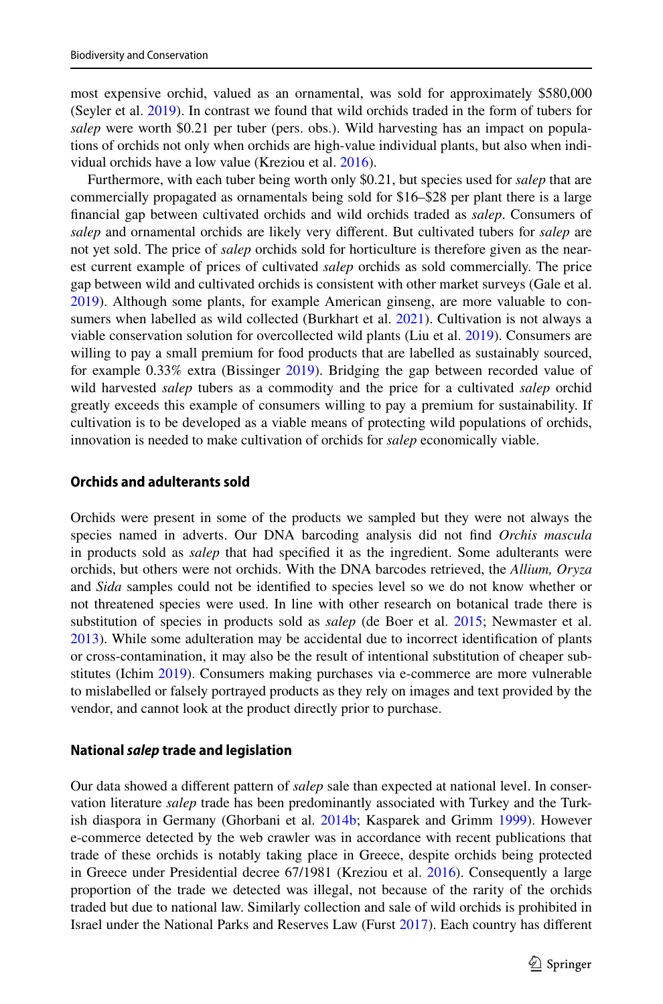most expensive orchid, valued as an ornamental, was sold for approximately \$580,000 (Seyler et al. [2019\)](#page-13-16). In contrast we found that wild orchids traded in the form of tubers for *salep* were worth \$0.21 per tuber (pers. obs.). Wild harvesting has an impact on populations of orchids not only when orchids are high-value individual plants, but also when individual orchids have a low value (Kreziou et al. [2016](#page-12-10)).

Furthermore, with each tuber being worth only \$0.21, but species used for *salep* that are commercially propagated as ornamentals being sold for \$16–\$28 per plant there is a large fnancial gap between cultivated orchids and wild orchids traded as *salep*. Consumers of *salep* and ornamental orchids are likely very diferent. But cultivated tubers for *salep* are not yet sold. The price of *salep* orchids sold for horticulture is therefore given as the nearest current example of prices of cultivated *salep* orchids as sold commercially. The price gap between wild and cultivated orchids is consistent with other market surveys (Gale et al. [2019\)](#page-11-14). Although some plants, for example American ginseng, are more valuable to consumers when labelled as wild collected (Burkhart et al. [2021\)](#page-11-15). Cultivation is not always a viable conservation solution for overcollected wild plants (Liu et al. [2019\)](#page-12-20). Consumers are willing to pay a small premium for food products that are labelled as sustainably sourced, for example 0.33% extra (Bissinger [2019\)](#page-11-16). Bridging the gap between recorded value of wild harvested *salep* tubers as a commodity and the price for a cultivated *salep* orchid greatly exceeds this example of consumers willing to pay a premium for sustainability. If cultivation is to be developed as a viable means of protecting wild populations of orchids, innovation is needed to make cultivation of orchids for *salep* economically viable.

### **Orchids and adulterants sold**

Orchids were present in some of the products we sampled but they were not always the species named in adverts. Our DNA barcoding analysis did not fnd *Orchis mascula* in products sold as *salep* that had specifed it as the ingredient. Some adulterants were orchids, but others were not orchids. With the DNA barcodes retrieved, the *Allium, Oryza* and *Sida* samples could not be identifed to species level so we do not know whether or not threatened species were used. In line with other research on botanical trade there is substitution of species in products sold as *salep* (de Boer et al. [2015](#page-11-17); Newmaster et al. [2013\)](#page-12-17). While some adulteration may be accidental due to incorrect identifcation of plants or cross-contamination, it may also be the result of intentional substitution of cheaper substitutes (Ichim [2019](#page-12-16)). Consumers making purchases via e-commerce are more vulnerable to mislabelled or falsely portrayed products as they rely on images and text provided by the vendor, and cannot look at the product directly prior to purchase.

#### **National** *salep* **trade and legislation**

Our data showed a diferent pattern of *salep* sale than expected at national level. In conservation literature *salep* trade has been predominantly associated with Turkey and the Turkish diaspora in Germany (Ghorbani et al. [2014b](#page-12-19); Kasparek and Grimm [1999](#page-12-9)). However e-commerce detected by the web crawler was in accordance with recent publications that trade of these orchids is notably taking place in Greece, despite orchids being protected in Greece under Presidential decree 67/1981 (Kreziou et al. [2016](#page-12-10)). Consequently a large proportion of the trade we detected was illegal, not because of the rarity of the orchids traded but due to national law. Similarly collection and sale of wild orchids is prohibited in Israel under the National Parks and Reserves Law (Furst [2017\)](#page-11-18). Each country has diferent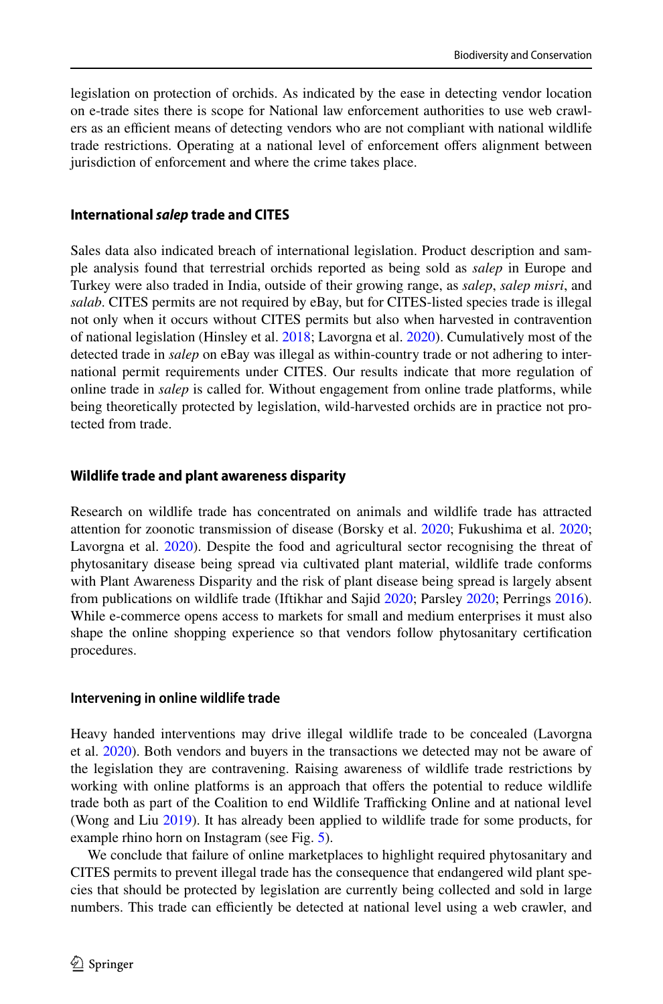legislation on protection of orchids. As indicated by the ease in detecting vendor location on e-trade sites there is scope for National law enforcement authorities to use web crawlers as an efficient means of detecting vendors who are not compliant with national wildlife trade restrictions. Operating at a national level of enforcement ofers alignment between jurisdiction of enforcement and where the crime takes place.

## **International** *salep* **trade and CITES**

Sales data also indicated breach of international legislation. Product description and sample analysis found that terrestrial orchids reported as being sold as *salep* in Europe and Turkey were also traded in India, outside of their growing range, as *salep*, *salep misri*, and *salab*. CITES permits are not required by eBay, but for CITES-listed species trade is illegal not only when it occurs without CITES permits but also when harvested in contravention of national legislation (Hinsley et al. [2018](#page-12-21); Lavorgna et al. [2020\)](#page-12-14). Cumulatively most of the detected trade in *salep* on eBay was illegal as within-country trade or not adhering to international permit requirements under CITES. Our results indicate that more regulation of online trade in *salep* is called for. Without engagement from online trade platforms, while being theoretically protected by legislation, wild-harvested orchids are in practice not protected from trade.

## **Wildlife trade and plant awareness disparity**

Research on wildlife trade has concentrated on animals and wildlife trade has attracted attention for zoonotic transmission of disease (Borsky et al. [2020](#page-11-19); Fukushima et al. [2020;](#page-11-20) Lavorgna et al. [2020](#page-12-14)). Despite the food and agricultural sector recognising the threat of phytosanitary disease being spread via cultivated plant material, wildlife trade conforms with Plant Awareness Disparity and the risk of plant disease being spread is largely absent from publications on wildlife trade (Iftikhar and Sajid [2020;](#page-12-22) Parsley [2020](#page-12-23); Perrings [2016](#page-12-24)). While e-commerce opens access to markets for small and medium enterprises it must also shape the online shopping experience so that vendors follow phytosanitary certifcation procedures.

## **Intervening in online wildlife trade**

Heavy handed interventions may drive illegal wildlife trade to be concealed (Lavorgna et al. [2020](#page-12-14)). Both vendors and buyers in the transactions we detected may not be aware of the legislation they are contravening. Raising awareness of wildlife trade restrictions by working with online platforms is an approach that offers the potential to reduce wildlife trade both as part of the Coalition to end Wildlife Trafficking Online and at national level (Wong and Liu [2019](#page-13-6)). It has already been applied to wildlife trade for some products, for example rhino horn on Instagram (see Fig. [5\)](#page-10-0).

We conclude that failure of online marketplaces to highlight required phytosanitary and CITES permits to prevent illegal trade has the consequence that endangered wild plant species that should be protected by legislation are currently being collected and sold in large numbers. This trade can efficiently be detected at national level using a web crawler, and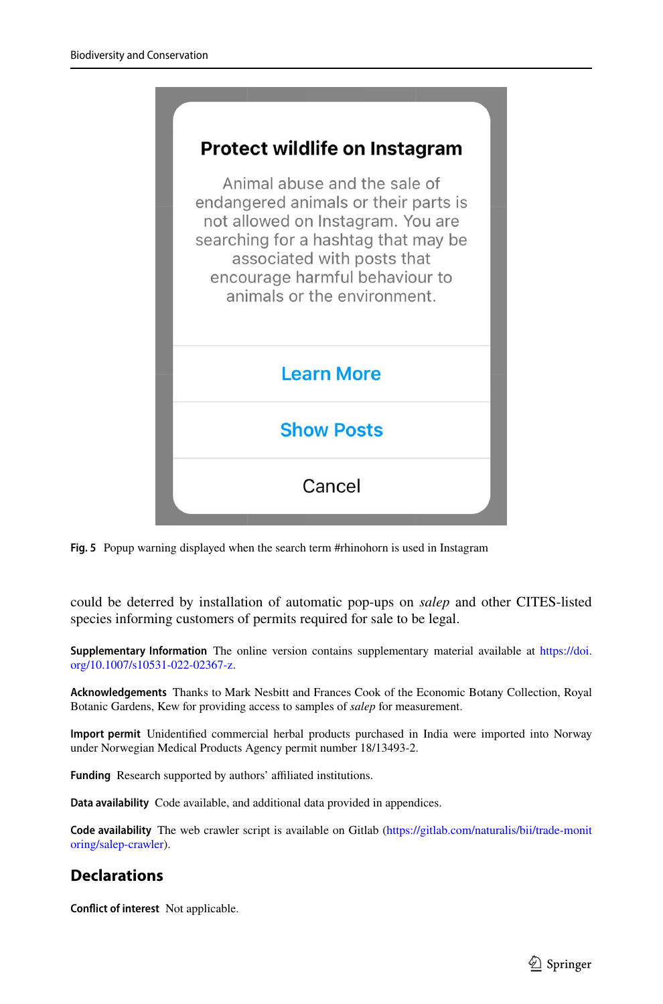

**Fig. 5** Popup warning displayed when the search term #rhinohorn is used in Instagram

<span id="page-10-0"></span>could be deterred by installation of automatic pop-ups on *salep* and other CITES-listed species informing customers of permits required for sale to be legal.

**Supplementary Information** The online version contains supplementary material available at [https://doi.](https://doi.org/10.1007/s10531-022-02367-z) [org/10.1007/s10531-022-02367-z](https://doi.org/10.1007/s10531-022-02367-z).

**Acknowledgements** Thanks to Mark Nesbitt and Frances Cook of the Economic Botany Collection, Royal Botanic Gardens, Kew for providing access to samples of *salep* for measurement.

**Import permit** Unidentifed commercial herbal products purchased in India were imported into Norway under Norwegian Medical Products Agency permit number 18/13493-2.

Funding Research supported by authors' affiliated institutions.

**Data availability** Code available, and additional data provided in appendices.

**Code availability** The web crawler script is available on Gitlab [\(https://gitlab.com/naturalis/bii/trade-monit](https://gitlab.com/naturalis/bii/trade-monitoring/salep-crawler) [oring/salep-crawler\)](https://gitlab.com/naturalis/bii/trade-monitoring/salep-crawler).

# **Declarations**

**Confict of interest** Not applicable.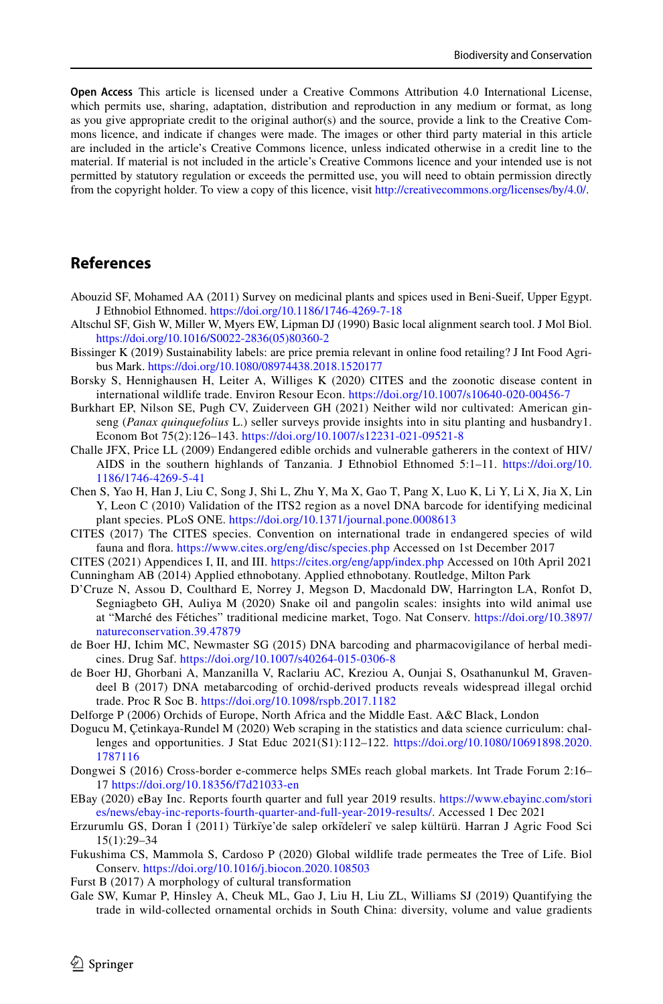**Open Access** This article is licensed under a Creative Commons Attribution 4.0 International License, which permits use, sharing, adaptation, distribution and reproduction in any medium or format, as long as you give appropriate credit to the original author(s) and the source, provide a link to the Creative Commons licence, and indicate if changes were made. The images or other third party material in this article are included in the article's Creative Commons licence, unless indicated otherwise in a credit line to the material. If material is not included in the article's Creative Commons licence and your intended use is not permitted by statutory regulation or exceeds the permitted use, you will need to obtain permission directly from the copyright holder. To view a copy of this licence, visit [http://creativecommons.org/licenses/by/4.0/.](http://creativecommons.org/licenses/by/4.0/)

# **References**

- <span id="page-11-5"></span>Abouzid SF, Mohamed AA (2011) Survey on medicinal plants and spices used in Beni-Sueif, Upper Egypt. J Ethnobiol Ethnomed.<https://doi.org/10.1186/1746-4269-7-18>
- <span id="page-11-13"></span>Altschul SF, Gish W, Miller W, Myers EW, Lipman DJ (1990) Basic local alignment search tool. J Mol Biol. [https://doi.org/10.1016/S0022-2836\(05\)80360-2](https://doi.org/10.1016/S0022-2836(05)80360-2)
- <span id="page-11-16"></span>Bissinger K (2019) Sustainability labels: are price premia relevant in online food retailing? J Int Food Agribus Mark.<https://doi.org/10.1080/08974438.2018.1520177>
- <span id="page-11-19"></span>Borsky S, Hennighausen H, Leiter A, Williges K (2020) CITES and the zoonotic disease content in international wildlife trade. Environ Resour Econ.<https://doi.org/10.1007/s10640-020-00456-7>
- <span id="page-11-15"></span>Burkhart EP, Nilson SE, Pugh CV, Zuiderveen GH (2021) Neither wild nor cultivated: American ginseng (*Panax quinquefolius* L.) seller surveys provide insights into in situ planting and husbandry1. Econom Bot 75(2):126–143.<https://doi.org/10.1007/s12231-021-09521-8>
- <span id="page-11-4"></span>Challe JFX, Price LL (2009) Endangered edible orchids and vulnerable gatherers in the context of HIV/ AIDS in the southern highlands of Tanzania. J Ethnobiol Ethnomed 5:1–11. [https://doi.org/10.](https://doi.org/10.1186/1746-4269-5-41) [1186/1746-4269-5-41](https://doi.org/10.1186/1746-4269-5-41)
- <span id="page-11-12"></span>Chen S, Yao H, Han J, Liu C, Song J, Shi L, Zhu Y, Ma X, Gao T, Pang X, Luo K, Li Y, Li X, Jia X, Lin Y, Leon C (2010) Validation of the ITS2 region as a novel DNA barcode for identifying medicinal plant species. PLoS ONE. <https://doi.org/10.1371/journal.pone.0008613>
- <span id="page-11-3"></span>CITES (2017) The CITES species. Convention on international trade in endangered species of wild fauna and fora.<https://www.cites.org/eng/disc/species.php> Accessed on 1st December 2017
- <span id="page-11-8"></span><span id="page-11-0"></span>CITES (2021) Appendices I, II, and III. <https://cites.org/eng/app/index.php> Accessed on 10th April 2021 Cunningham AB (2014) Applied ethnobotany. Applied ethnobotany. Routledge, Milton Park
- <span id="page-11-1"></span>D'Cruze N, Assou D, Coulthard E, Norrey J, Megson D, Macdonald DW, Harrington LA, Ronfot D, Segniagbeto GH, Auliya M (2020) Snake oil and pangolin scales: insights into wild animal use at "Marché des Fétiches" traditional medicine market, Togo. Nat Conserv. [https://doi.org/10.3897/](https://doi.org/10.3897/natureconservation.39.47879) [natureconservation.39.47879](https://doi.org/10.3897/natureconservation.39.47879)
- <span id="page-11-17"></span>de Boer HJ, Ichim MC, Newmaster SG (2015) DNA barcoding and pharmacovigilance of herbal medicines. Drug Saf.<https://doi.org/10.1007/s40264-015-0306-8>
- <span id="page-11-6"></span>de Boer HJ, Ghorbani A, Manzanilla V, Raclariu AC, Kreziou A, Ounjai S, Osathanunkul M, Gravendeel B (2017) DNA metabarcoding of orchid-derived products reveals widespread illegal orchid trade. Proc R Soc B.<https://doi.org/10.1098/rspb.2017.1182>
- <span id="page-11-9"></span>Delforge P (2006) Orchids of Europe, North Africa and the Middle East. A&C Black, London
- <span id="page-11-11"></span>Dogucu M, Çetinkaya-Rundel M (2020) Web scraping in the statistics and data science curriculum: challenges and opportunities. J Stat Educ 2021(S1):112–122. [https://doi.org/10.1080/10691898.2020.](https://doi.org/10.1080/10691898.2020.1787116) [1787116](https://doi.org/10.1080/10691898.2020.1787116)
- <span id="page-11-2"></span>Dongwei S (2016) Cross-border e-commerce helps SMEs reach global markets. Int Trade Forum 2:16– 17<https://doi.org/10.18356/f7d21033-en>
- <span id="page-11-10"></span>EBay (2020) eBay Inc. Reports fourth quarter and full year 2019 results. [https://www.ebayinc.com/stori](https://www.ebayinc.com/stories/news/ebay-inc-reports-fourth-quarter-and-full-year-2019-results/) [es/news/ebay-inc-reports-fourth-quarter-and-full-year-2019-results/.](https://www.ebayinc.com/stories/news/ebay-inc-reports-fourth-quarter-and-full-year-2019-results/) Accessed 1 Dec 2021
- <span id="page-11-7"></span>Erzurumlu GS, Doran İ (2011) Türki̇ye'de salep orki̇deleri̇ ve salep kültürü. Harran J Agric Food Sci 15(1):29–34
- <span id="page-11-20"></span>Fukushima CS, Mammola S, Cardoso P (2020) Global wildlife trade permeates the Tree of Life. Biol Conserv. <https://doi.org/10.1016/j.biocon.2020.108503>
- <span id="page-11-18"></span>Furst B (2017) A morphology of cultural transformation
- <span id="page-11-14"></span>Gale SW, Kumar P, Hinsley A, Cheuk ML, Gao J, Liu H, Liu ZL, Williams SJ (2019) Quantifying the trade in wild-collected ornamental orchids in South China: diversity, volume and value gradients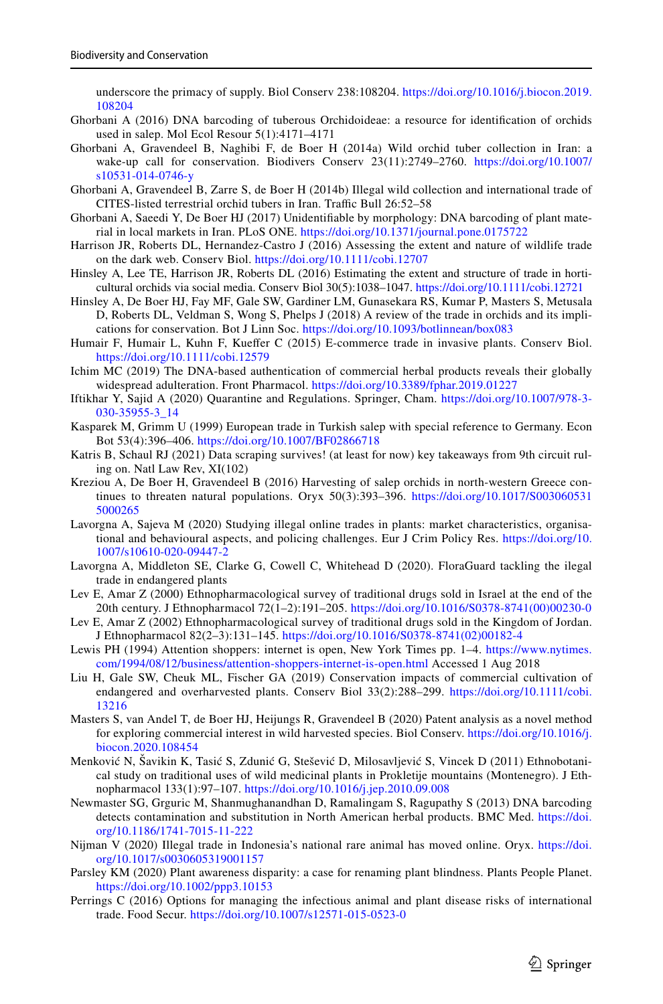underscore the primacy of supply. Biol Conserv 238:108204. [https://doi.org/10.1016/j.biocon.2019.](https://doi.org/10.1016/j.biocon.2019.108204) [108204](https://doi.org/10.1016/j.biocon.2019.108204)

- <span id="page-12-8"></span>Ghorbani A (2016) DNA barcoding of tuberous Orchidoideae: a resource for identifcation of orchids used in salep. Mol Ecol Resour 5(1):4171–4171
- <span id="page-12-11"></span>Ghorbani A, Gravendeel B, Naghibi F, de Boer H (2014a) Wild orchid tuber collection in Iran: a wake-up call for conservation. Biodivers Conserv 23(11):2749–2760. [https://doi.org/10.1007/](https://doi.org/10.1007/s10531-014-0746-y) [s10531-014-0746-y](https://doi.org/10.1007/s10531-014-0746-y)
- <span id="page-12-19"></span>Ghorbani A, Gravendeel B, Zarre S, de Boer H (2014b) Illegal wild collection and international trade of CITES-listed terrestrial orchid tubers in Iran. Traffic Bull 26:52-58
- <span id="page-12-18"></span>Ghorbani A, Saeedi Y, De Boer HJ (2017) Unidentifable by morphology: DNA barcoding of plant material in local markets in Iran. PLoS ONE.<https://doi.org/10.1371/journal.pone.0175722>
- <span id="page-12-3"></span>Harrison JR, Roberts DL, Hernandez-Castro J (2016) Assessing the extent and nature of wildlife trade on the dark web. Conserv Biol. <https://doi.org/10.1111/cobi.12707>
- <span id="page-12-4"></span>Hinsley A, Lee TE, Harrison JR, Roberts DL (2016) Estimating the extent and structure of trade in horticultural orchids via social media. Conserv Biol 30(5):1038–1047. <https://doi.org/10.1111/cobi.12721>
- <span id="page-12-21"></span>Hinsley A, De Boer HJ, Fay MF, Gale SW, Gardiner LM, Gunasekara RS, Kumar P, Masters S, Metusala D, Roberts DL, Veldman S, Wong S, Phelps J (2018) A review of the trade in orchids and its implications for conservation. Bot J Linn Soc. <https://doi.org/10.1093/botlinnean/box083>
- <span id="page-12-1"></span>Humair F, Humair L, Kuhn F, Kuefer C (2015) E-commerce trade in invasive plants. Conserv Biol. <https://doi.org/10.1111/cobi.12579>
- <span id="page-12-16"></span>Ichim MC (2019) The DNA-based authentication of commercial herbal products reveals their globally widespread adulteration. Front Pharmacol. <https://doi.org/10.3389/fphar.2019.01227>
- <span id="page-12-22"></span>Iftikhar Y, Sajid A (2020) Quarantine and Regulations. Springer, Cham. [https://doi.org/10.1007/978-3-](https://doi.org/10.1007/978-3-030-35955-3_14) [030-35955-3\\_14](https://doi.org/10.1007/978-3-030-35955-3_14)
- <span id="page-12-9"></span>Kasparek M, Grimm U (1999) European trade in Turkish salep with special reference to Germany. Econ Bot 53(4):396–406. <https://doi.org/10.1007/BF02866718>
- <span id="page-12-15"></span>Katris B, Schaul RJ (2021) Data scraping survives! (at least for now) key takeaways from 9th circuit ruling on. Natl Law Rev, XI(102)
- <span id="page-12-10"></span>Kreziou A, De Boer H, Gravendeel B (2016) Harvesting of salep orchids in north-western Greece continues to threaten natural populations. Oryx 50(3):393–396. [https://doi.org/10.1017/S003060531](https://doi.org/10.1017/S0030605315000265) [5000265](https://doi.org/10.1017/S0030605315000265)
- <span id="page-12-5"></span>Lavorgna A, Sajeva M (2020) Studying illegal online trades in plants: market characteristics, organisational and behavioural aspects, and policing challenges. Eur J Crim Policy Res. [https://doi.org/10.](https://doi.org/10.1007/s10610-020-09447-2) [1007/s10610-020-09447-2](https://doi.org/10.1007/s10610-020-09447-2)
- <span id="page-12-14"></span>Lavorgna A, Middleton SE, Clarke G, Cowell C, Whitehead D (2020). FloraGuard tackling the ilegal trade in endangered plants
- <span id="page-12-6"></span>Lev E, Amar Z (2000) Ethnopharmacological survey of traditional drugs sold in Israel at the end of the 20th century. J Ethnopharmacol 72(1–2):191–205. [https://doi.org/10.1016/S0378-8741\(00\)00230-0](https://doi.org/10.1016/S0378-8741(00)00230-0)
- <span id="page-12-12"></span>Lev E, Amar Z (2002) Ethnopharmacological survey of traditional drugs sold in the Kingdom of Jordan. J Ethnopharmacol 82(2–3):131–145. [https://doi.org/10.1016/S0378-8741\(02\)00182-4](https://doi.org/10.1016/S0378-8741(02)00182-4)
- <span id="page-12-0"></span>Lewis PH (1994) Attention shoppers: internet is open, New York Times pp. 1–4. [https://www.nytimes.](https://www.nytimes.com/1994/08/12/business/attention-shoppers-internet-is-open.html) [com/1994/08/12/business/attention-shoppers-internet-is-open.html](https://www.nytimes.com/1994/08/12/business/attention-shoppers-internet-is-open.html) Accessed 1 Aug 2018
- <span id="page-12-20"></span>Liu H, Gale SW, Cheuk ML, Fischer GA (2019) Conservation impacts of commercial cultivation of endangered and overharvested plants. Conserv Biol 33(2):288–299. [https://doi.org/10.1111/cobi.](https://doi.org/10.1111/cobi.13216) [13216](https://doi.org/10.1111/cobi.13216)
- <span id="page-12-13"></span>Masters S, van Andel T, de Boer HJ, Heijungs R, Gravendeel B (2020) Patent analysis as a novel method for exploring commercial interest in wild harvested species. Biol Conserv. [https://doi.org/10.1016/j.](https://doi.org/10.1016/j.biocon.2020.108454) [biocon.2020.108454](https://doi.org/10.1016/j.biocon.2020.108454)
- <span id="page-12-7"></span>Menković N, Šavikin K, Tasić S, Zdunić G, Stešević D, Milosavljević S, Vincek D (2011) Ethnobotanical study on traditional uses of wild medicinal plants in Prokletije mountains (Montenegro). J Ethnopharmacol 133(1):97–107.<https://doi.org/10.1016/j.jep.2010.09.008>
- <span id="page-12-17"></span>Newmaster SG, Grguric M, Shanmughanandhan D, Ramalingam S, Ragupathy S (2013) DNA barcoding detects contamination and substitution in North American herbal products. BMC Med. [https://doi.](https://doi.org/10.1186/1741-7015-11-222) [org/10.1186/1741-7015-11-222](https://doi.org/10.1186/1741-7015-11-222)
- <span id="page-12-2"></span>Nijman V (2020) Illegal trade in Indonesia's national rare animal has moved online. Oryx. [https://doi.](https://doi.org/10.1017/s0030605319001157) [org/10.1017/s0030605319001157](https://doi.org/10.1017/s0030605319001157)
- <span id="page-12-23"></span>Parsley KM (2020) Plant awareness disparity: a case for renaming plant blindness. Plants People Planet. <https://doi.org/10.1002/ppp3.10153>
- <span id="page-12-24"></span>Perrings C (2016) Options for managing the infectious animal and plant disease risks of international trade. Food Secur.<https://doi.org/10.1007/s12571-015-0523-0>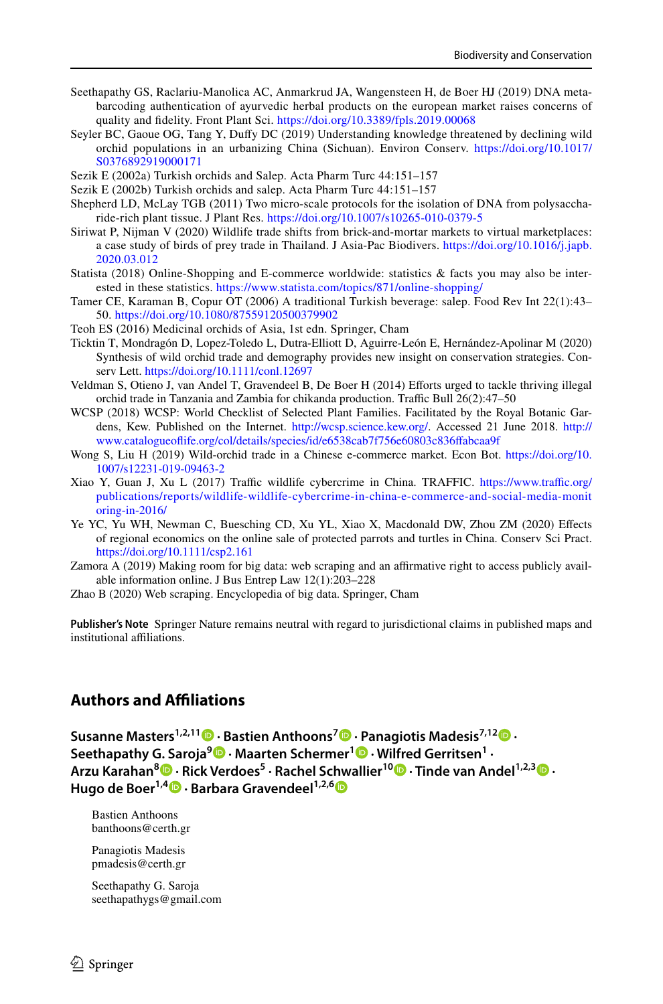- <span id="page-13-13"></span>Seethapathy GS, Raclariu-Manolica AC, Anmarkrud JA, Wangensteen H, de Boer HJ (2019) DNA metabarcoding authentication of ayurvedic herbal products on the european market raises concerns of quality and fdelity. Front Plant Sci. <https://doi.org/10.3389/fpls.2019.00068>
- <span id="page-13-16"></span>Seyler BC, Gaoue OG, Tang Y, Dufy DC (2019) Understanding knowledge threatened by declining wild orchid populations in an urbanizing China (Sichuan). Environ Conserv. [https://doi.org/10.1017/](https://doi.org/10.1017/S0376892919000171) [S0376892919000171](https://doi.org/10.1017/S0376892919000171)
- <span id="page-13-8"></span>Sezik E (2002a) Turkish orchids and Salep. Acta Pharm Turc 44:151–157
- <span id="page-13-10"></span>Sezik E (2002b) Turkish orchids and salep. Acta Pharm Turc 44:151–157
- <span id="page-13-14"></span>Shepherd LD, McLay TGB (2011) Two micro-scale protocols for the isolation of DNA from polysaccharide-rich plant tissue. J Plant Res.<https://doi.org/10.1007/s10265-010-0379-5>
- <span id="page-13-2"></span>Siriwat P, Nijman V (2020) Wildlife trade shifts from brick-and-mortar markets to virtual marketplaces: a case study of birds of prey trade in Thailand. J Asia-Pac Biodivers. [https://doi.org/10.1016/j.japb.](https://doi.org/10.1016/j.japb.2020.03.012) [2020.03.012](https://doi.org/10.1016/j.japb.2020.03.012)
- <span id="page-13-1"></span>Statista (2018) Online-Shopping and E-commerce worldwide: statistics & facts you may also be interested in these statistics.<https://www.statista.com/topics/871/online-shopping/>
- <span id="page-13-9"></span>Tamer CE, Karaman B, Copur OT (2006) A traditional Turkish beverage: salep. Food Rev Int 22(1):43– 50.<https://doi.org/10.1080/87559120500379902>
- <span id="page-13-15"></span>Teoh ES (2016) Medicinal orchids of Asia, 1st edn. Springer, Cham
- <span id="page-13-0"></span>Ticktin T, Mondragón D, Lopez-Toledo L, Dutra-Elliott D, Aguirre-León E, Hernández-Apolinar M (2020) Synthesis of wild orchid trade and demography provides new insight on conservation strategies. Conserv Lett.<https://doi.org/10.1111/conl.12697>
- <span id="page-13-7"></span>Veldman S, Otieno J, van Andel T, Gravendeel B, De Boer H (2014) Eforts urged to tackle thriving illegal orchid trade in Tanzania and Zambia for chikanda production. Traffic Bull 26(2):47-50
- <span id="page-13-5"></span>WCSP (2018) WCSP: World Checklist of Selected Plant Families. Facilitated by the Royal Botanic Gardens, Kew. Published on the Internet. [http://wcsp.science.kew.org/.](http://wcsp.science.kew.org/) Accessed 21 June 2018. [http://](http://www.catalogueoflife.org/col/details/species/id/e6538cab7f756e60803c836ffabcaa9f) [www.catalogueofife.org/col/details/species/id/e6538cab7f756e60803c836fabcaa9f](http://www.catalogueoflife.org/col/details/species/id/e6538cab7f756e60803c836ffabcaa9f)
- <span id="page-13-6"></span>Wong S, Liu H (2019) Wild-orchid trade in a Chinese e-commerce market. Econ Bot. [https://doi.org/10.](https://doi.org/10.1007/s12231-019-09463-2) [1007/s12231-019-09463-2](https://doi.org/10.1007/s12231-019-09463-2)
- <span id="page-13-3"></span>Xiao Y, Guan J, Xu L (2017) Traffic wildlife cybercrime in China. TRAFFIC. [https://www.traffic.org/](https://www.traffic.org/publications/reports/wildlife-wildlife-cybercrime-in-china-e-commerce-and-social-media-monitoring-in-2016/) [publications/reports/wildlife-wildlife-cybercrime-in-china-e-commerce-and-social-media-monit](https://www.traffic.org/publications/reports/wildlife-wildlife-cybercrime-in-china-e-commerce-and-social-media-monitoring-in-2016/) [oring-in-2016/](https://www.traffic.org/publications/reports/wildlife-wildlife-cybercrime-in-china-e-commerce-and-social-media-monitoring-in-2016/)
- <span id="page-13-4"></span>Ye YC, Yu WH, Newman C, Buesching CD, Xu YL, Xiao X, Macdonald DW, Zhou ZM (2020) Efects of regional economics on the online sale of protected parrots and turtles in China. Conserv Sci Pract. <https://doi.org/10.1111/csp2.161>
- <span id="page-13-12"></span>Zamora A (2019) Making room for big data: web scraping and an afrmative right to access publicly available information online. J Bus Entrep Law 12(1):203–228
- <span id="page-13-11"></span>Zhao B (2020) Web scraping. Encyclopedia of big data. Springer, Cham

**Publisher's Note** Springer Nature remains neutral with regard to jurisdictional claims in published maps and institutional affiliations.

# **Authors and Afliations**

**Susanne Masters1,2,11  [·](http://orcid.org/0000-0002-4070-3224) Bastien Anthoons7 · Panagiotis Madesis7,1[2](http://orcid.org/0000-0003-1447-3514) · Seethapathy G. Saroja<sup>9</sup>  [·](http://orcid.org/0000-0002-1650-5199) Maarten Schermer1  [·](http://orcid.org/0000-0001-6770-3155) Wilfred Gerritsen1 · Arzu Karahan[8](http://orcid.org/0000-0002-4096-9372) · Rick Verdoes5 · Rachel Schwallier1[0](http://orcid.org/0000-0001-6024-6406) · Tinde van Andel1,2,3 · Hugode Boer<sup>1,4</sup> • Barbara Gravendeel**<sup>1,2,[6](http://orcid.org/0000-0002-6508-0895)</sup> **•** 

Bastien Anthoons banthoons@certh.gr

Panagiotis Madesis pmadesis@certh.gr

Seethapathy G. Saroja seethapathygs@gmail.com